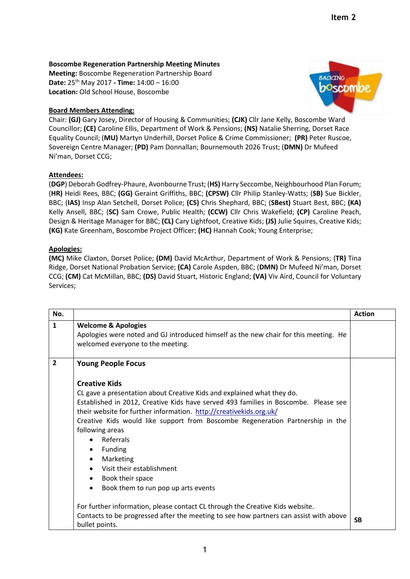## **Boscombe Regeneration Partnership Meeting Minutes**

**Meeting:** Boscombe Regeneration Partnership Board **Date:** 25 th May 2017 **- Time:** 14:00 – 16:00 **Location:** Old School House, Boscombe

## **Board Members Attending:**



Chair: **(GJ)** Gary Josey, Director of Housing & Communities; **(CJK)** Cllr Jane Kelly, Boscombe Ward Councillor; **(CE)** Caroline Ellis, Department of Work & Pensions; **(NS)** Natalie Sherring, Dorset Race Equality Council; (**MU)** Martyn Underhill, Dorset Police & Crime Commissioner; **(PR)** Peter Ruscoe, Sovereign Centre Manager; **(PD)** Pam Donnallan; Bournemouth 2026 Trust; (**DMN)** Dr Mufeed Ni'man, Dorset CCG;

## **Attendees:**

(**DGP**) Deborah Godfrey-Phaure, Avonbourne Trust; (**HS)** Harry Seccombe, Neighbourhood Plan Forum; (**HR)** Heidi Rees, BBC; **(GG)** Geraint Griffiths, BBC; **(CPSW)** Cllr Philip Stanley-Watts; (**SB)** Sue Bickler, BBC; (**IAS)** Insp Alan Setchell, Dorset Police; **(CS)** Chris Shephard, BBC; (**SBest)** Stuart Best, BBC; **(KA)** Kelly Ansell, BBC; (**SC)** Sam Crowe, Public Health; **(CCW)** Cllr Chris Wakefield; **(CP)** Caroline Peach, Design & Heritage Manager for BBC; **(CL)** Cary Lightfoot, Creative Kids; **(JS)** Julie Squires, Creative Kids; **(KG)** Kate Greenham, Boscombe Project Officer; **(HC)** Hannah Cook; Young Enterprise;

## **Apologies:**

**(MC)** Mike Claxton, Dorset Police; **(DM)** David McArthur, Department of Work & Pensions; (**TR)** Tina Ridge, Dorset National Probation Service; **(CA)** Carole Aspden, BBC; (**DMN)** Dr Mufeed Ni'man, Dorset CCG; **(CM)** Cat McMillan, BBC; **(DS)** David Stuart, Historic England; **(VA)** Viv Aird, Council for Voluntary Services;

| No.            |                                                                                                                                                                                                                                                                                                                                                                                                                                                                                                                                                                                                                                                                        | <b>Action</b> |
|----------------|------------------------------------------------------------------------------------------------------------------------------------------------------------------------------------------------------------------------------------------------------------------------------------------------------------------------------------------------------------------------------------------------------------------------------------------------------------------------------------------------------------------------------------------------------------------------------------------------------------------------------------------------------------------------|---------------|
| $\mathbf{1}$   | <b>Welcome &amp; Apologies</b><br>Apologies were noted and GJ introduced himself as the new chair for this meeting. He<br>welcomed everyone to the meeting.                                                                                                                                                                                                                                                                                                                                                                                                                                                                                                            |               |
| $\overline{2}$ | <b>Young People Focus</b><br><b>Creative Kids</b><br>CL gave a presentation about Creative Kids and explained what they do.<br>Established in 2012, Creative Kids have served 493 families in Boscombe. Please see<br>their website for further information. http://creativekids.org.uk/<br>Creative Kids would like support from Boscombe Regeneration Partnership in the<br>following areas<br>• Referrals<br>Funding<br>$\bullet$<br>Marketing<br>$\bullet$<br>Visit their establishment<br>$\bullet$<br>Book their space<br>٠<br>Book them to run pop up arts events<br>$\bullet$<br>For further information, please contact CL through the Creative Kids website. |               |
|                | Contacts to be progressed after the meeting to see how partners can assist with above<br>bullet points.                                                                                                                                                                                                                                                                                                                                                                                                                                                                                                                                                                | <b>SB</b>     |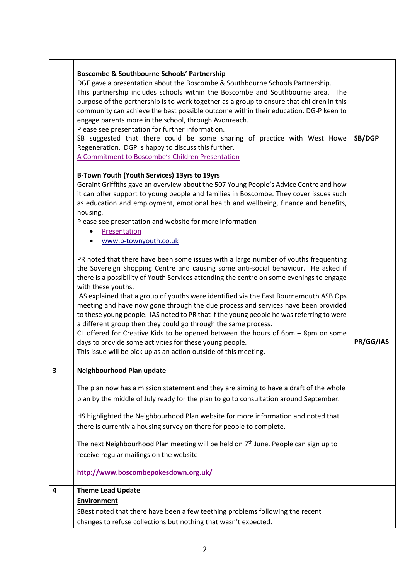|   | Boscombe & Southbourne Schools' Partnership<br>DGF gave a presentation about the Boscombe & Southbourne Schools Partnership.<br>This partnership includes schools within the Boscombe and Southbourne area. The<br>purpose of the partnership is to work together as a group to ensure that children in this<br>community can achieve the best possible outcome within their education. DG-P keen to<br>engage parents more in the school, through Avonreach.<br>Please see presentation for further information.<br>SB suggested that there could be some sharing of practice with West Howe<br>Regeneration. DGP is happy to discuss this further.<br>A Commitment to Boscombe's Children Presentation                                                                                                                                                    | SB/DGP    |
|---|-------------------------------------------------------------------------------------------------------------------------------------------------------------------------------------------------------------------------------------------------------------------------------------------------------------------------------------------------------------------------------------------------------------------------------------------------------------------------------------------------------------------------------------------------------------------------------------------------------------------------------------------------------------------------------------------------------------------------------------------------------------------------------------------------------------------------------------------------------------|-----------|
|   | B-Town Youth (Youth Services) 13yrs to 19yrs<br>Geraint Griffiths gave an overview about the 507 Young People's Advice Centre and how<br>it can offer support to young people and families in Boscombe. They cover issues such<br>as education and employment, emotional health and wellbeing, finance and benefits,<br>housing.<br>Please see presentation and website for more information<br>Presentation<br>www.b-townyouth.co.uk                                                                                                                                                                                                                                                                                                                                                                                                                       |           |
|   | PR noted that there have been some issues with a large number of youths frequenting<br>the Sovereign Shopping Centre and causing some anti-social behaviour. He asked if<br>there is a possibility of Youth Services attending the centre on some evenings to engage<br>with these youths.<br>IAS explained that a group of youths were identified via the East Bournemouth ASB Ops<br>meeting and have now gone through the due process and services have been provided<br>to these young people. IAS noted to PR that if the young people he was referring to were<br>a different group then they could go through the same process.<br>CL offered for Creative Kids to be opened between the hours of $6pm - 8pm$ on some<br>days to provide some activities for these young people.<br>This issue will be pick up as an action outside of this meeting. | PR/GG/IAS |
| З | Neighbourhood Plan update<br>The plan now has a mission statement and they are aiming to have a draft of the whole<br>plan by the middle of July ready for the plan to go to consultation around September.<br>HS highlighted the Neighbourhood Plan website for more information and noted that<br>there is currently a housing survey on there for people to complete.<br>The next Neighbourhood Plan meeting will be held on 7 <sup>th</sup> June. People can sign up to<br>receive regular mailings on the website<br>http://www.boscombepokesdown.org.uk/                                                                                                                                                                                                                                                                                              |           |
| 4 | <b>Theme Lead Update</b><br><b>Environment</b><br>SBest noted that there have been a few teething problems following the recent<br>changes to refuse collections but nothing that wasn't expected.                                                                                                                                                                                                                                                                                                                                                                                                                                                                                                                                                                                                                                                          |           |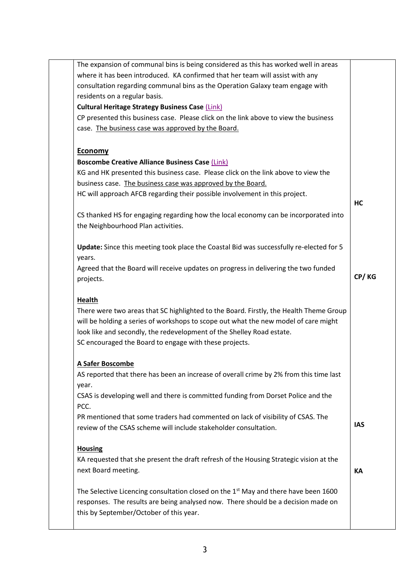| The expansion of communal bins is being considered as this has worked well in areas     |            |
|-----------------------------------------------------------------------------------------|------------|
| where it has been introduced. KA confirmed that her team will assist with any           |            |
| consultation regarding communal bins as the Operation Galaxy team engage with           |            |
| residents on a regular basis.                                                           |            |
| <b>Cultural Heritage Strategy Business Case (Link)</b>                                  |            |
| CP presented this business case. Please click on the link above to view the business    |            |
| case. The business case was approved by the Board.                                      |            |
|                                                                                         |            |
| <b>Economy</b>                                                                          |            |
| <b>Boscombe Creative Alliance Business Case (Link)</b>                                  |            |
| KG and HK presented this business case. Please click on the link above to view the      |            |
| business case. The business case was approved by the Board.                             |            |
| HC will approach AFCB regarding their possible involvement in this project.             |            |
|                                                                                         | НC         |
| CS thanked HS for engaging regarding how the local economy can be incorporated into     |            |
| the Neighbourhood Plan activities.                                                      |            |
|                                                                                         |            |
| Update: Since this meeting took place the Coastal Bid was successfully re-elected for 5 |            |
| years.                                                                                  |            |
| Agreed that the Board will receive updates on progress in delivering the two funded     |            |
| projects.                                                                               | CP/KG      |
|                                                                                         |            |
| <b>Health</b>                                                                           |            |
| There were two areas that SC highlighted to the Board. Firstly, the Health Theme Group  |            |
| will be holding a series of workshops to scope out what the new model of care might     |            |
| look like and secondly, the redevelopment of the Shelley Road estate.                   |            |
| SC encouraged the Board to engage with these projects.                                  |            |
| <u>A Safer Boscombe</u>                                                                 |            |
| AS reported that there has been an increase of overall crime by 2% from this time last  |            |
| year.                                                                                   |            |
| CSAS is developing well and there is committed funding from Dorset Police and the       |            |
| PCC.                                                                                    |            |
|                                                                                         |            |
| PR mentioned that some traders had commented on lack of visibility of CSAS. The         | <b>IAS</b> |
| review of the CSAS scheme will include stakeholder consultation.                        |            |
|                                                                                         |            |
| <b>Housing</b>                                                                          |            |
|                                                                                         |            |
| KA requested that she present the draft refresh of the Housing Strategic vision at the  |            |
| next Board meeting.                                                                     | КA         |
| The Selective Licencing consultation closed on the $1st$ May and there have been 1600   |            |
| responses. The results are being analysed now. There should be a decision made on       |            |